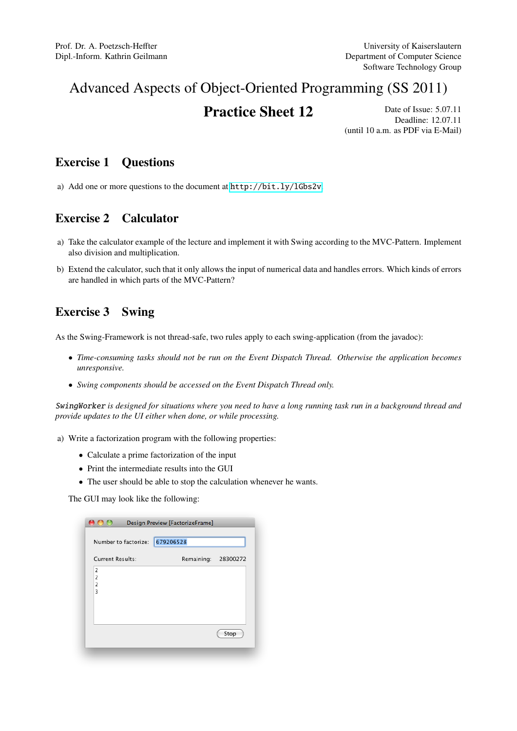# Advanced Aspects of Object-Oriented Programming (SS 2011)

## **Practice Sheet 12** Date of Issue: 5.07.11

Deadline: 12.07.11 (until 10 a.m. as PDF via E-Mail)

#### Exercise 1 Questions

a) Add one or more questions to the document at <http://bit.ly/lGbs2v>.

#### Exercise 2 Calculator

- a) Take the calculator example of the lecture and implement it with Swing according to the MVC-Pattern. Implement also division and multiplication.
- b) Extend the calculator, such that it only allows the input of numerical data and handles errors. Which kinds of errors are handled in which parts of the MVC-Pattern?

### Exercise 3 Swing

As the Swing-Framework is not thread-safe, two rules apply to each swing-application (from the javadoc):

- *Time-consuming tasks should not be run on the Event Dispatch Thread. Otherwise the application becomes unresponsive.*
- *Swing components should be accessed on the Event Dispatch Thread only.*

SwingWorker *is designed for situations where you need to have a long running task run in a background thread and provide updates to the UI either when done, or while processing.*

a) Write a factorization program with the following properties:

- Calculate a prime factorization of the input
- Print the intermediate results into the GUI
- The user should be able to stop the calculation whenever he wants.

The GUI may look like the following:

| Design Preview [FactorizeFrame] |                        |
|---------------------------------|------------------------|
| Number to factorize:            | 679206528              |
| <b>Current Results:</b>         | 28300272<br>Remaining: |
| $\overline{c}$                  |                        |
| $\overline{2}$<br>2             |                        |
| 3                               |                        |
|                                 |                        |
|                                 |                        |
|                                 |                        |
|                                 | Stop                   |
|                                 |                        |